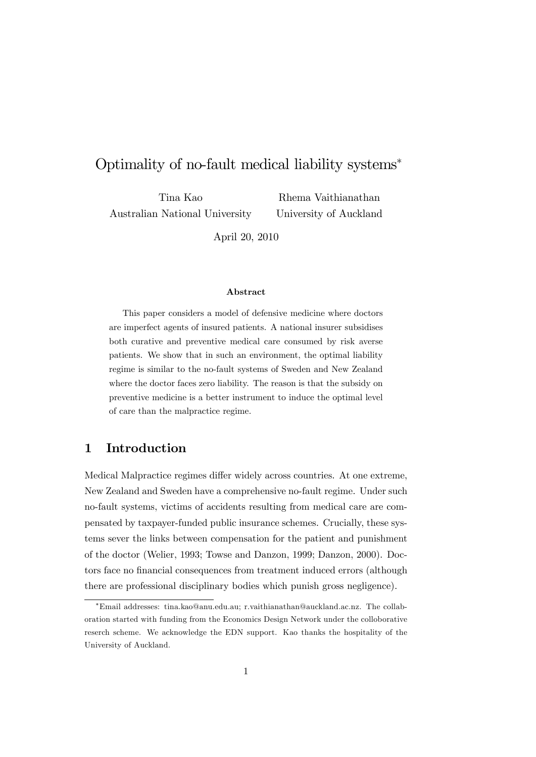# Optimality of no-fault medical liability systems

Tina Kao Australian National University

Rhema Vaithianathan University of Auckland

April 20, 2010

#### Abstract

This paper considers a model of defensive medicine where doctors are imperfect agents of insured patients. A national insurer subsidises both curative and preventive medical care consumed by risk averse patients. We show that in such an environment, the optimal liability regime is similar to the no-fault systems of Sweden and New Zealand where the doctor faces zero liability. The reason is that the subsidy on preventive medicine is a better instrument to induce the optimal level of care than the malpractice regime.

# 1 Introduction

Medical Malpractice regimes differ widely across countries. At one extreme, New Zealand and Sweden have a comprehensive no-fault regime. Under such no-fault systems, victims of accidents resulting from medical care are compensated by taxpayer-funded public insurance schemes. Crucially, these systems sever the links between compensation for the patient and punishment of the doctor (Welier, 1993; Towse and Danzon, 1999; Danzon, 2000). Doctors face no financial consequences from treatment induced errors (although there are professional disciplinary bodies which punish gross negligence).

Email addresses: tina.kao@anu.edu.au; r.vaithianathan@auckland.ac.nz. The collaboration started with funding from the Economics Design Network under the colloborative reserch scheme. We acknowledge the EDN support. Kao thanks the hospitality of the University of Auckland.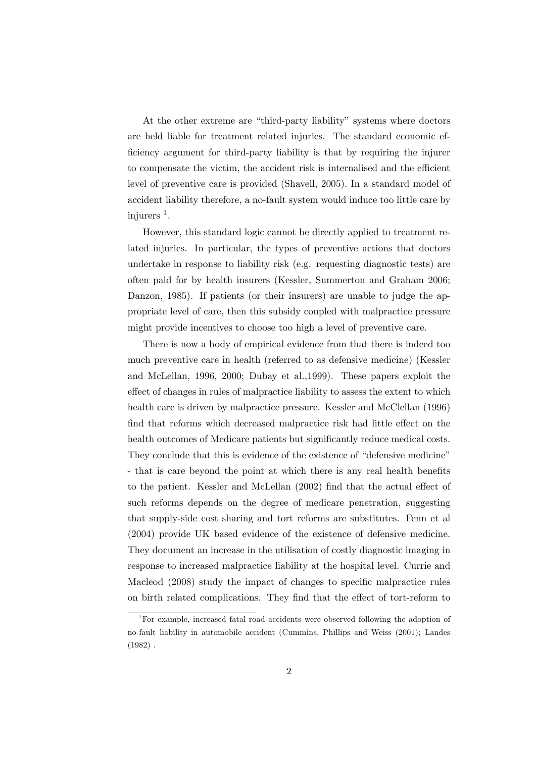At the other extreme are "third-party liability" systems where doctors are held liable for treatment related injuries. The standard economic efficiency argument for third-party liability is that by requiring the injurer to compensate the victim, the accident risk is internalised and the efficient level of preventive care is provided (Shavell, 2005). In a standard model of accident liability therefore, a no-fault system would induce too little care by injurers<sup>1</sup>.

However, this standard logic cannot be directly applied to treatment related injuries. In particular, the types of preventive actions that doctors undertake in response to liability risk (e.g. requesting diagnostic tests) are often paid for by health insurers (Kessler, Summerton and Graham 2006; Danzon, 1985). If patients (or their insurers) are unable to judge the appropriate level of care, then this subsidy coupled with malpractice pressure might provide incentives to choose too high a level of preventive care.

There is now a body of empirical evidence from that there is indeed too much preventive care in health (referred to as defensive medicine) (Kessler and McLellan, 1996, 2000; Dubay et al.,1999). These papers exploit the effect of changes in rules of malpractice liability to assess the extent to which health care is driven by malpractice pressure. Kessler and McClellan (1996) find that reforms which decreased malpractice risk had little effect on the health outcomes of Medicare patients but significantly reduce medical costs. They conclude that this is evidence of the existence of "defensive medicine" - that is care beyond the point at which there is any real health benefits to the patient. Kessler and McLellan (2002) find that the actual effect of such reforms depends on the degree of medicare penetration, suggesting that supply-side cost sharing and tort reforms are substitutes. Fenn et al (2004) provide UK based evidence of the existence of defensive medicine. They document an increase in the utilisation of costly diagnostic imaging in response to increased malpractice liability at the hospital level. Currie and Macleod (2008) study the impact of changes to specific malpractice rules on birth related complications. They find that the effect of tort-reform to

<sup>1</sup>For example, increased fatal road accidents were observed following the adoption of no-fault liability in automobile accident (Cummins, Phillips and Weiss (2001); Landes  $(1982)$ .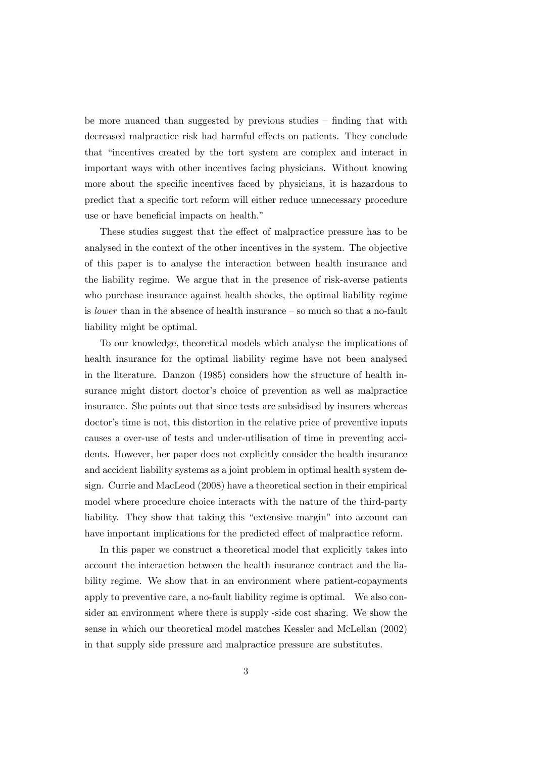be more nuanced than suggested by previous studies  $\overline{\phantom{a}}$  finding that with decreased malpractice risk had harmful effects on patients. They conclude that "incentives created by the tort system are complex and interact in important ways with other incentives facing physicians. Without knowing more about the specific incentives faced by physicians, it is hazardous to predict that a specific tort reform will either reduce unnecessary procedure use or have beneficial impacts on health."

These studies suggest that the effect of malpractice pressure has to be analysed in the context of the other incentives in the system. The objective of this paper is to analyse the interaction between health insurance and the liability regime. We argue that in the presence of risk-averse patients who purchase insurance against health shocks, the optimal liability regime is *lower* than in the absence of health insurance  $\sim$  so much so that a no-fault liability might be optimal.

To our knowledge, theoretical models which analyse the implications of health insurance for the optimal liability regime have not been analysed in the literature. Danzon (1985) considers how the structure of health insurance might distort doctor's choice of prevention as well as malpractice insurance. She points out that since tests are subsidised by insurers whereas doctor's time is not, this distortion in the relative price of preventive inputs causes a over-use of tests and under-utilisation of time in preventing accidents. However, her paper does not explicitly consider the health insurance and accident liability systems as a joint problem in optimal health system design. Currie and MacLeod (2008) have a theoretical section in their empirical model where procedure choice interacts with the nature of the third-party liability. They show that taking this "extensive margin" into account can have important implications for the predicted effect of malpractice reform.

In this paper we construct a theoretical model that explicitly takes into account the interaction between the health insurance contract and the liability regime. We show that in an environment where patient-copayments apply to preventive care, a no-fault liability regime is optimal. We also consider an environment where there is supply -side cost sharing. We show the sense in which our theoretical model matches Kessler and McLellan (2002) in that supply side pressure and malpractice pressure are substitutes.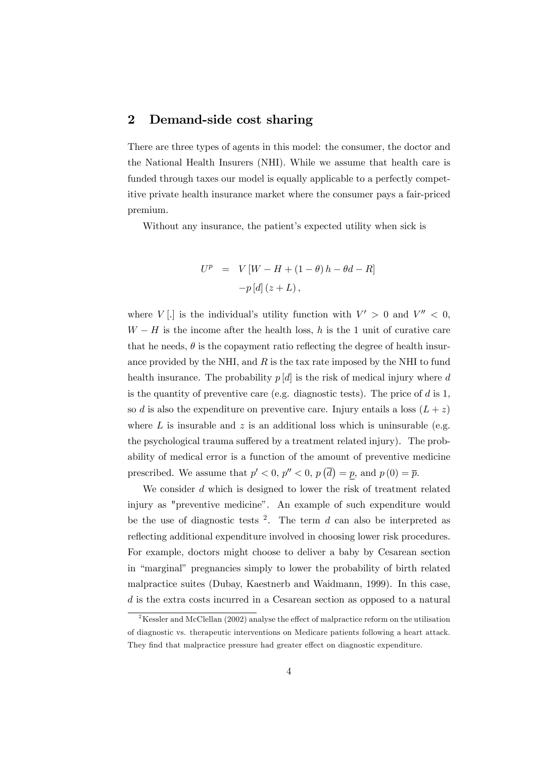### 2 Demand-side cost sharing

There are three types of agents in this model: the consumer, the doctor and the National Health Insurers (NHI). While we assume that health care is funded through taxes our model is equally applicable to a perfectly competitive private health insurance market where the consumer pays a fair-priced premium.

Without any insurance, the patient's expected utility when sick is

$$
U^{p} = V [W - H + (1 - \theta) h - \theta d - R]
$$

$$
-p [d] (z + L),
$$

where  $V[\cdot]$  is the individual's utility function with  $V' > 0$  and  $V'' < 0$ ,  $W - H$  is the income after the health loss, h is the 1 unit of curative care that he needs,  $\theta$  is the copayment ratio reflecting the degree of health insurance provided by the NHI, and  $R$  is the tax rate imposed by the NHI to fund health insurance. The probability  $p[d]$  is the risk of medical injury where d is the quantity of preventive care (e.g. diagnostic tests). The price of  $d$  is 1, so d is also the expenditure on preventive care. Injury entails a loss  $(L + z)$ where  $L$  is insurable and  $z$  is an additional loss which is uninsurable (e.g. the psychological trauma suffered by a treatment related injury). The probability of medical error is a function of the amount of preventive medicine prescribed. We assume that  $p' < 0$ ,  $p'' < 0$ ,  $p(\overline{d}) = p$ , and  $p(0) = \overline{p}$ .

We consider  $d$  which is designed to lower the risk of treatment related injury as "preventive medicine". An example of such expenditure would be the use of diagnostic tests  $2$ . The term d can also be interpreted as reflecting additional expenditure involved in choosing lower risk procedures. For example, doctors might choose to deliver a baby by Cesarean section in "marginal" pregnancies simply to lower the probability of birth related malpractice suites (Dubay, Kaestnerb and Waidmann, 1999). In this case, d is the extra costs incurred in a Cesarean section as opposed to a natural

 $2$ Kessler and McClellan (2002) analyse the effect of malpractice reform on the utilisation of diagnostic vs. therapeutic interventions on Medicare patients following a heart attack. They find that malpractice pressure had greater effect on diagnostic expenditure.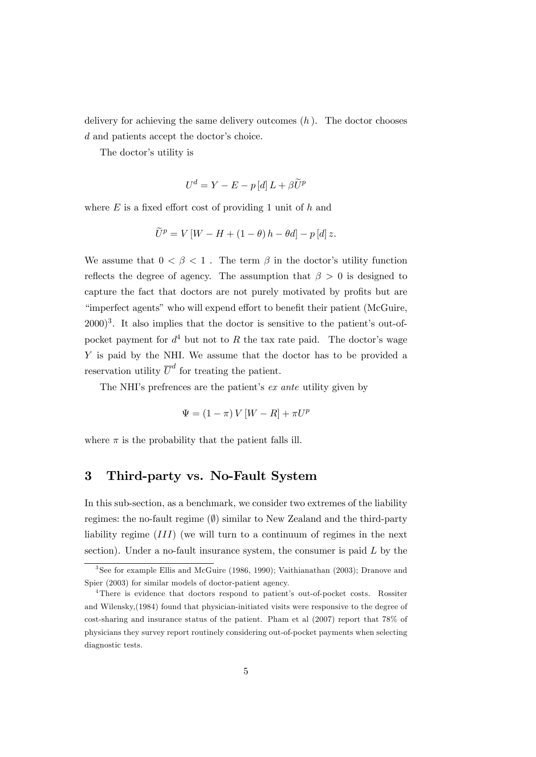delivery for achieving the same delivery outcomes  $(h)$ . The doctor chooses  $d$  and patients accept the doctor's choice.

The doctor's utility is

$$
U^d = Y - E - p \left[ d \right] L + \beta \widetilde{U}^p
$$

where  $E$  is a fixed effort cost of providing 1 unit of  $h$  and

$$
\widetilde{U}^{p} = V \left[ W - H + (1 - \theta) h - \theta d \right] - p \left[ d \right] z.
$$

We assume that  $0 < \beta < 1$ . The term  $\beta$  in the doctor's utility function reflects the degree of agency. The assumption that  $\beta > 0$  is designed to capture the fact that doctors are not purely motivated by profits but are "imperfect agents" who will expend effort to benefit their patient (McGuire,  $(2000)^3$ . It also implies that the doctor is sensitive to the patient's out-ofpocket payment for  $d^4$  but not to R the tax rate paid. The doctor's wage Y is paid by the NHI. We assume that the doctor has to be provided a reservation utility  $\overline{U}^d$  for treating the patient.

The NHI's prefrences are the patient's *ex ante* utility given by

$$
\Psi = \left(1-\pi\right)V\left[W - R\right] + \pi U^p
$$

where  $\pi$  is the probability that the patient falls ill.

#### 3 Third-party vs. No-Fault System

In this sub-section, as a benchmark, we consider two extremes of the liability regimes: the no-fault regime  $(\emptyset)$  similar to New Zealand and the third-party liability regime (III) (we will turn to a continuum of regimes in the next section). Under a no-fault insurance system, the consumer is paid  $L$  by the

<sup>&</sup>lt;sup>3</sup>See for example Ellis and McGuire (1986, 1990); Vaithianathan (2003); Dranove and Spier (2003) for similar models of doctor-patient agency.

<sup>&</sup>lt;sup>4</sup>There is evidence that doctors respond to patient's out-of-pocket costs. Rossiter and Wilensky,(1984) found that physician-initiated visits were responsive to the degree of cost-sharing and insurance status of the patient. Pham et al (2007) report that 78% of physicians they survey report routinely considering out-of-pocket payments when selecting diagnostic tests.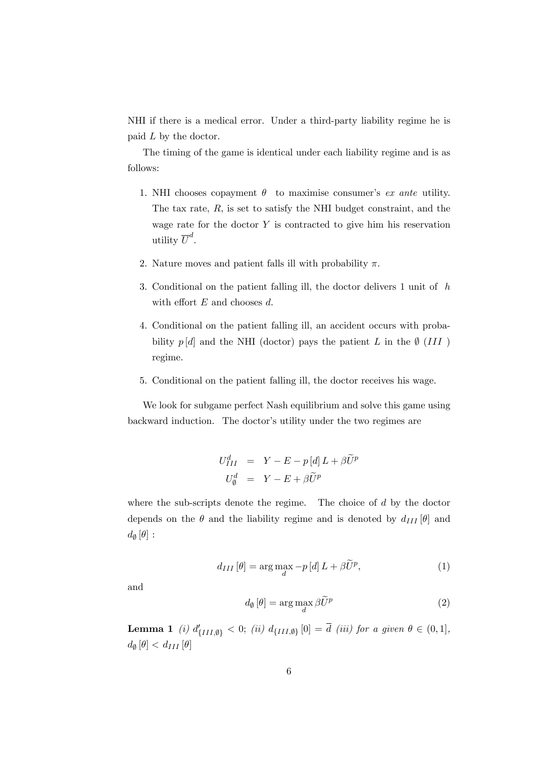NHI if there is a medical error. Under a third-party liability regime he is paid L by the doctor.

The timing of the game is identical under each liability regime and is as follows:

- 1. NHI chooses copayment  $\theta$  to maximise consumer's ex ante utility. The tax rate,  $R$ , is set to satisfy the NHI budget constraint, and the wage rate for the doctor  $Y$  is contracted to give him his reservation utility  $\overline{U}^d$ .
- 2. Nature moves and patient falls ill with probability  $\pi$ .
- 3. Conditional on the patient falling ill, the doctor delivers 1 unit of h with effort  $E$  and chooses  $d$ .
- 4. Conditional on the patient falling ill, an accident occurs with probability  $p[d]$  and the NHI (doctor) pays the patient L in the  $\emptyset$  (III) regime.
- 5. Conditional on the patient falling ill, the doctor receives his wage.

We look for subgame perfect Nash equilibrium and solve this game using backward induction. The doctor's utility under the two regimes are

$$
U_{III}^{d} = Y - E - p [d] L + \beta \widetilde{U}^{p}
$$

$$
U_{\emptyset}^{d} = Y - E + \beta \widetilde{U}^{p}
$$

where the sub-scripts denote the regime. The choice of d by the doctor depends on the  $\theta$  and the liability regime and is denoted by  $d_{III}[\theta]$  and  $d_{\emptyset}[\theta]$ :

$$
d_{III}\left[\theta\right] = \arg\max_{d} -p\left[d\right]L + \beta \widetilde{U}^{p},\tag{1}
$$

and

$$
d_{\emptyset}[\theta] = \arg\max_{d} \beta \widetilde{U}^{p}
$$
 (2)

**Lemma 1** (i)  $d'_{\{III, \emptyset\}} < 0;$  (ii)  $d_{\{III, \emptyset\}}[0] = d$  (iii) for a given  $\theta \in (0, 1],$  $d_{\emptyset}[\theta] < d_{III}[\theta]$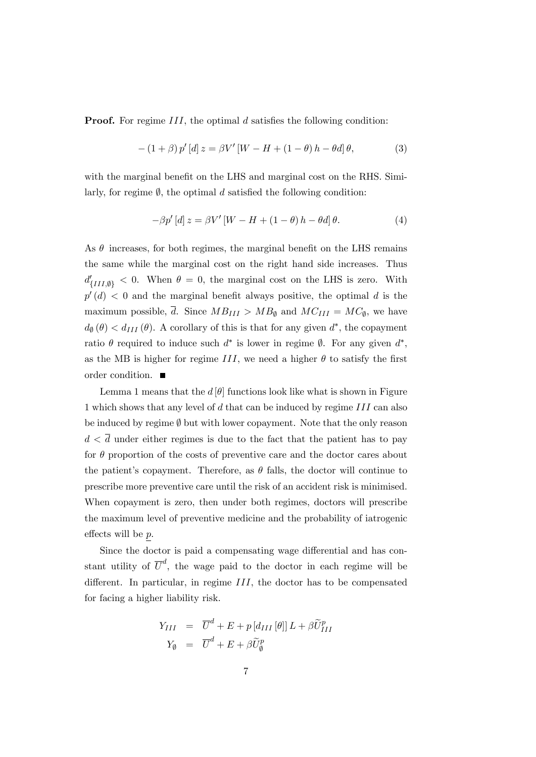**Proof.** For regime  $III$ , the optimal d satisfies the following condition:

$$
-(1+\beta) p' [d] z = \beta V' [W - H + (1-\theta) h - \theta d] \theta, \tag{3}
$$

with the marginal benefit on the LHS and marginal cost on the RHS. Similarly, for regime  $\emptyset$ , the optimal d satisfied the following condition:

$$
-\beta p'[d] z = \beta V'[W - H + (1 - \theta) h - \theta d] \theta.
$$
 (4)

As  $\theta$  increases, for both regimes, the marginal benefit on the LHS remains the same while the marginal cost on the right hand side increases. Thus  $d'_{\{III,\emptyset\}} < 0$ . When  $\theta = 0$ , the marginal cost on the LHS is zero. With  $p'(d)$  < 0 and the marginal benefit always positive, the optimal d is the maximum possible, d. Since  $MB_{III} > MB_{\emptyset}$  and  $MC_{III} = MC_{\emptyset}$ , we have  $d_{\theta}(\theta) < d_{III}(\theta)$ . A corollary of this is that for any given  $d^*$ , the copayment ratio  $\theta$  required to induce such  $d^*$  is lower in regime  $\emptyset$ . For any given  $d^*$ , as the MB is higher for regime III, we need a higher  $\theta$  to satisfy the first order condition.

Lemma 1 means that the  $d[\theta]$  functions look like what is shown in Figure 1 which shows that any level of d that can be induced by regime III can also be induced by regime  $\emptyset$  but with lower copayment. Note that the only reason  $d < \overline{d}$  under either regimes is due to the fact that the patient has to pay for  $\theta$  proportion of the costs of preventive care and the doctor cares about the patient's copayment. Therefore, as  $\theta$  falls, the doctor will continue to prescribe more preventive care until the risk of an accident risk is minimised. When copayment is zero, then under both regimes, doctors will prescribe the maximum level of preventive medicine and the probability of iatrogenic effects will be  $p$ .

Since the doctor is paid a compensating wage differential and has constant utility of  $\overline{U}^d$ , the wage paid to the doctor in each regime will be different. In particular, in regime  $III$ , the doctor has to be compensated for facing a higher liability risk.

$$
Y_{III} = \overline{U}^d + E + p [d_{III} [\theta]] L + \beta \widetilde{U}_{III}^p
$$
  

$$
Y_{\emptyset} = \overline{U}^d + E + \beta \widetilde{U}_{\emptyset}^p
$$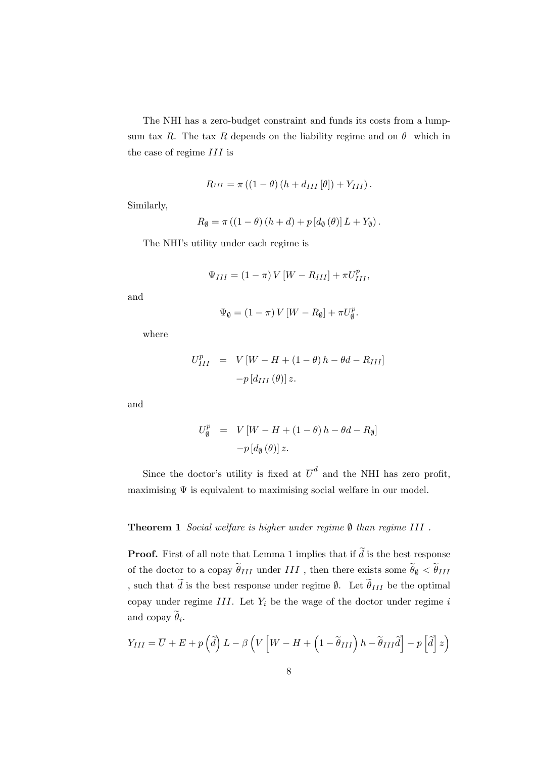The NHI has a zero-budget constraint and funds its costs from a lumpsum tax R. The tax R depends on the liability regime and on  $\theta$  which in the case of regime III is

$$
R_{III} = \pi ((1 - \theta) (h + d_{III} [\theta]) + Y_{III}).
$$

Similarly,

$$
R_{\emptyset} = \pi ((1 - \theta) (h + d) + p [d_{\emptyset} (\theta)] L + Y_{\emptyset}).
$$

The NHI's utility under each regime is

$$
\Psi_{III} = (1 - \pi) V [W - R_{III}] + \pi U_{III}^p,
$$

and

$$
\Psi_{\emptyset} = (1 - \pi) V [W - R_{\emptyset}] + \pi U_{\emptyset}^{p}.
$$

where

$$
U_{III}^{p} = V[W - H + (1 - \theta) h - \theta d - R_{III}]
$$

$$
-p[d_{III}(\theta)] \, z.
$$

and

$$
U_{\emptyset}^{p} = V[W - H + (1 - \theta) h - \theta d - R_{\emptyset}]
$$

$$
-p[d_{\emptyset}(\theta)] z.
$$

Since the doctor's utility is fixed at  $\overline{U}^d$  and the NHI has zero profit, maximising  $\Psi$  is equivalent to maximising social welfare in our model.

#### **Theorem 1** Social welfare is higher under regime  $\emptyset$  than regime III.

**Proof.** First of all note that Lemma 1 implies that if  $\tilde{d}$  is the best response of the doctor to a copay  $\widetilde{\theta}_{III}$  under  $III$  , then there exists some  $\widetilde{\theta}_{\emptyset}<\widetilde{\theta}_{III}$ , such that  $\tilde{d}$  is the best response under regime  $\emptyset$ . Let  $\tilde{\theta}_{III}$  be the optimal copay under regime  $III$ . Let  $Y_i$  be the wage of the doctor under regime i and copay  $\theta_i$ .

$$
Y_{III} = \overline{U} + E + p\left(\tilde{d}\right)L - \beta\left(V\left[W - H + \left(1 - \tilde{\theta}_{III}\right)h - \tilde{\theta}_{III}\tilde{d}\right] - p\left[\tilde{d}\right]z\right)
$$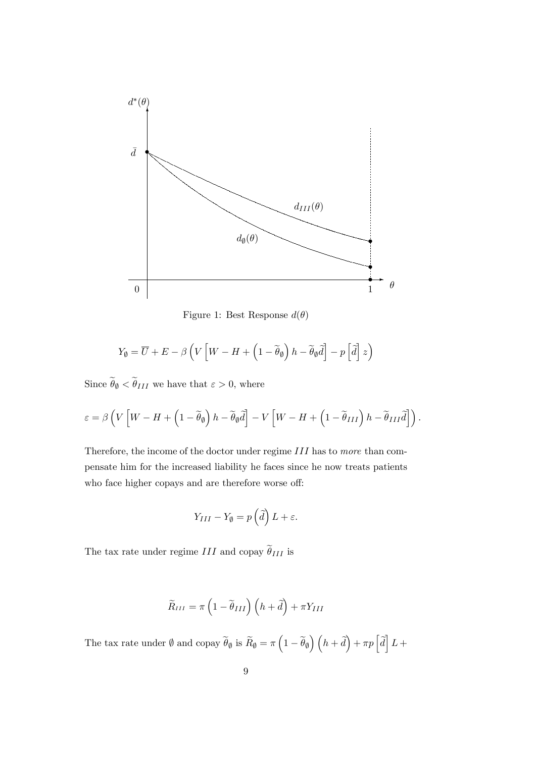

Figure 1: Best Response  $d(\theta)$ 

$$
Y_{\emptyset} = \overline{U} + E - \beta \left( V \left[ W - H + \left( 1 - \widetilde{\theta}_{\emptyset} \right) h - \widetilde{\theta}_{\emptyset} \widetilde{d} \right] - p \left[ \widetilde{d} \right] z \right)
$$

Since  $\widetilde{\theta}_{\emptyset}<\widetilde{\theta}_{III}$  we have that  $\varepsilon>0,$  where

$$
\varepsilon = \beta \left( V \left[ W - H + \left( 1 - \widetilde{\theta}_{\emptyset} \right) h - \widetilde{\theta}_{\emptyset} \widetilde{d} \right] - V \left[ W - H + \left( 1 - \widetilde{\theta}_{III} \right) h - \widetilde{\theta}_{III} \widetilde{d} \right] \right).
$$

Therefore, the income of the doctor under regime III has to more than compensate him for the increased liability he faces since he now treats patients who face higher copays and are therefore worse off:

$$
Y_{III} - Y_{\emptyset} = p\left(\widehat{d}\right)L + \varepsilon.
$$

The tax rate under regime  $III$  and copay  $\widetilde{\theta}_{III}$  is

$$
\widetilde{R}_{III} = \pi \left( 1 - \widetilde{\theta}_{III} \right) \left( h + \widetilde{d} \right) + \pi Y_{III}
$$

The tax rate under  $\emptyset$  and copay  $\widetilde{\theta}_{\emptyset}$  is  $\widetilde{R}_{\emptyset} = \pi \left(1 - \widetilde{\theta}_{\emptyset}\right) \left(h + \widetilde{d}\right) + \pi p \left[\widetilde{d}\right] L +$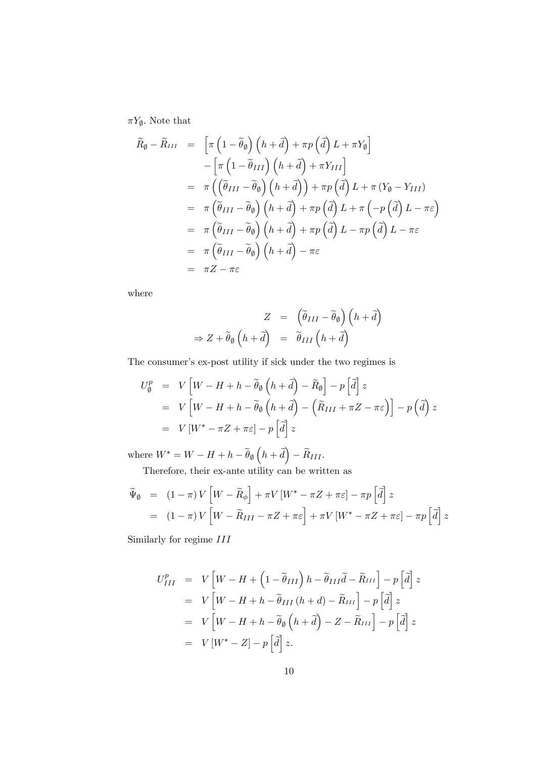$\pi Y_{\emptyset}$ . Note that

$$
\widetilde{R}_{\emptyset} - \widetilde{R}_{III} = \left[ \pi \left( 1 - \widetilde{\theta}_{\emptyset} \right) \left( h + \widetilde{d} \right) + \pi p \left( \widetilde{d} \right) L + \pi Y_{\emptyset} \right] \n- \left[ \pi \left( 1 - \widetilde{\theta}_{III} \right) \left( h + \widetilde{d} \right) + \pi Y_{III} \right] \n= \pi \left( \left( \widetilde{\theta}_{III} - \widetilde{\theta}_{\emptyset} \right) \left( h + \widetilde{d} \right) \right) + \pi p \left( \widetilde{d} \right) L + \pi \left( Y_{\emptyset} - Y_{III} \right) \n= \pi \left( \widetilde{\theta}_{III} - \widetilde{\theta}_{\emptyset} \right) \left( h + \widetilde{d} \right) + \pi p \left( \widetilde{d} \right) L + \pi \left( -p \left( \widetilde{d} \right) L - \pi \varepsilon \right) \n= \pi \left( \widetilde{\theta}_{III} - \widetilde{\theta}_{\emptyset} \right) \left( h + \widetilde{d} \right) + \pi p \left( \widetilde{d} \right) L - \pi p \left( \widetilde{d} \right) L - \pi \varepsilon \n= \pi \left( \widetilde{\theta}_{III} - \widetilde{\theta}_{\emptyset} \right) \left( h + \widetilde{d} \right) - \pi \varepsilon \n= \pi Z - \pi \varepsilon
$$

where

$$
Z = (\tilde{\theta}_{III} - \tilde{\theta}_{\emptyset}) (h + \tilde{d})
$$
  
\n
$$
\Rightarrow Z + \tilde{\theta}_{\emptyset} (h + \tilde{d}) = \tilde{\theta}_{III} (h + \tilde{d})
$$

The consumer's ex-post utility if sick under the two regimes is

$$
U_{\emptyset}^{p} = V \left[ W - H + h - \widetilde{\theta}_{\emptyset} \left( h + \widetilde{d} \right) - \widetilde{R}_{\emptyset} \right] - p \left[ \widetilde{d} \right] z
$$
  
=  $V \left[ W - H + h - \widetilde{\theta}_{\emptyset} \left( h + \widetilde{d} \right) - \left( \widetilde{R}_{III} + \pi Z - \pi \varepsilon \right) \right] - p \left( \widetilde{d} \right) z$   
=  $V \left[ W^{*} - \pi Z + \pi \varepsilon \right] - p \left[ \widetilde{d} \right] z$ 

where  $W^* = W - H + h - \widetilde{\theta}_{\emptyset} \left( h + \widetilde{d} \right) - \widetilde{R}_{III}.$ 

Therefore, their ex-ante utility can be written as

$$
\widetilde{\Psi}_{\emptyset} = (1 - \pi) V \left[ W - \widetilde{R}_{\phi} \right] + \pi V \left[ W^* - \pi Z + \pi \varepsilon \right] - \pi p \left[ \widetilde{d} \right] z
$$
\n
$$
= (1 - \pi) V \left[ W - \widetilde{R}_{III} - \pi Z + \pi \varepsilon \right] + \pi V \left[ W^* - \pi Z + \pi \varepsilon \right] - \pi p \left[ \widetilde{d} \right] z
$$

Similarly for regime III

$$
U_{III}^{p} = V \left[ W - H + \left( 1 - \tilde{\theta}_{III} \right) h - \tilde{\theta}_{III} \tilde{d} - \tilde{R}_{III} \right] - p \left[ \tilde{d} \right] z
$$
  
=  $V \left[ W - H + h - \tilde{\theta}_{III} \left( h + d \right) - \tilde{R}_{III} \right] - p \left[ \tilde{d} \right] z$   
=  $V \left[ W - H + h - \tilde{\theta}_{\emptyset} \left( h + \tilde{d} \right) - Z - \tilde{R}_{III} \right] - p \left[ \tilde{d} \right] z$   
=  $V \left[ W^* - Z \right] - p \left[ \tilde{d} \right] z.$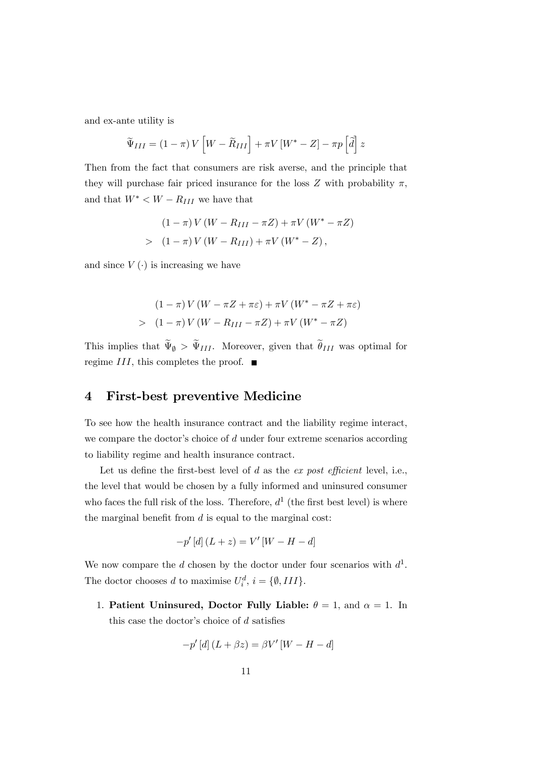and ex-ante utility is

$$
\widetilde{\Psi}_{III} = (1 - \pi) V \left[ W - \widetilde{R}_{III} \right] + \pi V \left[ W^* - Z \right] - \pi p \left[ \widetilde{d} \right] z
$$

Then from the fact that consumers are risk averse, and the principle that they will purchase fair priced insurance for the loss  $Z$  with probability  $\pi$ , and that  $W^{\ast} < W - R_{III}$  we have that

$$
(1 - \pi) V (W - R_{III} - \pi Z) + \pi V (W^* - \pi Z)
$$
  
> 
$$
(1 - \pi) V (W - R_{III}) + \pi V (W^* - Z),
$$

and since  $V(\cdot)$  is increasing we have

$$
(1 - \pi)V(W - \pi Z + \pi \varepsilon) + \pi V(W^* - \pi Z + \pi \varepsilon)
$$
  
> 
$$
(1 - \pi)V(W - R_{III} - \pi Z) + \pi V(W^* - \pi Z)
$$

This implies that  $\Psi_{\emptyset} > \Psi_{III}$ . Moreover, given that  $\theta_{III}$  was optimal for regime III, this completes the proof.  $\blacksquare$ 

# 4 First-best preventive Medicine

To see how the health insurance contract and the liability regime interact, we compare the doctor's choice of  $d$  under four extreme scenarios according to liability regime and health insurance contract.

Let us define the first-best level of d as the  $ex$  post efficient level, i.e., the level that would be chosen by a fully informed and uninsured consumer who faces the full risk of the loss. Therefore,  $d^1$  (the first best level) is where the marginal benefit from  $d$  is equal to the marginal cost:

$$
-p' [d] (L + z) = V'[W - H - d]
$$

We now compare the d chosen by the doctor under four scenarios with  $d^1$ . The doctor chooses d to maximise  $U_i^d$ ,  $i = \{\emptyset, III\}$ .

1. Patient Uninsured, Doctor Fully Liable:  $\theta = 1$ , and  $\alpha = 1$ . In this case the doctor's choice of  $d$  satisfies

$$
-p'\left[d\right](L+\beta z)=\beta V'\left[W-H-d\right]
$$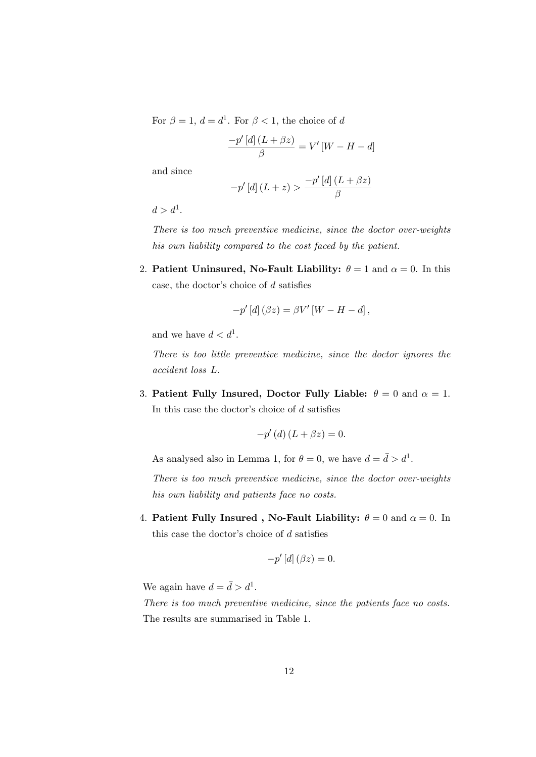For  $\beta = 1, d = d^1$ . For  $\beta < 1$ , the choice of d

$$
\frac{-p'\left[d\right]\left(L+\beta z\right)}{\beta}=V'\left[W-H-d\right]
$$

and since

$$
-p'\left[d\right](L+z) > \frac{-p'\left[d\right](L+\beta z)}{\beta}
$$

 $d > d^1$ .

There is too much preventive medicine, since the doctor over-weights his own liability compared to the cost faced by the patient.

2. Patient Uninsured, No-Fault Liability:  $\theta = 1$  and  $\alpha = 0$ . In this case, the doctor's choice of  $d$  satisfies

$$
-p'\left[d\right](\beta z)=\beta V'\left[W-H-d\right],
$$

and we have  $d < d^1$ .

There is too little preventive medicine, since the doctor ignores the accident loss L.

3. Patient Fully Insured, Doctor Fully Liable:  $\theta = 0$  and  $\alpha = 1$ . In this case the doctor's choice of  $d$  satisfies

$$
-p'(d)(L+\beta z)=0.
$$

As analysed also in Lemma 1, for  $\theta = 0$ , we have  $d = \bar{d} > d^1$ .

There is too much preventive medicine, since the doctor over-weights his own liability and patients face no costs.

4. Patient Fully Insured, No-Fault Liability:  $\theta = 0$  and  $\alpha = 0$ . In this case the doctor's choice of  $d$  satisfies

$$
-p'\left[d\right](\beta z)=0.
$$

We again have  $d = \bar{d} > d^1$ .

There is too much preventive medicine, since the patients face no costs. The results are summarised in Table 1.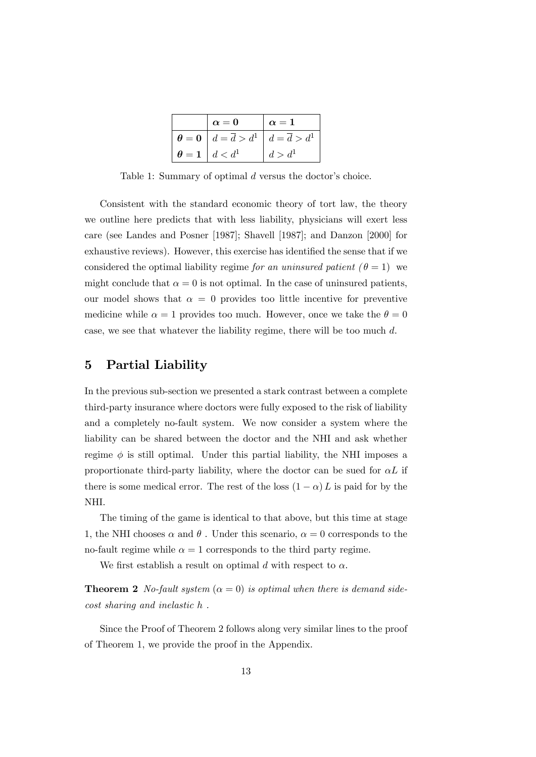| $\alpha=0$                                                                                 | $\alpha=1$         |
|--------------------------------------------------------------------------------------------|--------------------|
| $\boldsymbol{\theta} = \mathbf{0} \mid d = \overline{d} > d^1 \mid d = \overline{d} > d^1$ |                    |
| $\theta = 1 \mid d < d^{\perp}$                                                            | d > d <sup>1</sup> |

Table 1: Summary of optimal  $d$  versus the doctor's choice.

Consistent with the standard economic theory of tort law, the theory we outline here predicts that with less liability, physicians will exert less care (see Landes and Posner [1987]; Shavell [1987]; and Danzon [2000] for exhaustive reviews). However, this exercise has identified the sense that if we considered the optimal liability regime for an uninsured patient  $(\theta = 1)$  we might conclude that  $\alpha = 0$  is not optimal. In the case of uninsured patients, our model shows that  $\alpha = 0$  provides too little incentive for preventive medicine while  $\alpha = 1$  provides too much. However, once we take the  $\theta = 0$ case, we see that whatever the liability regime, there will be too much d.

### 5 Partial Liability

In the previous sub-section we presented a stark contrast between a complete third-party insurance where doctors were fully exposed to the risk of liability and a completely no-fault system. We now consider a system where the liability can be shared between the doctor and the NHI and ask whether regime  $\phi$  is still optimal. Under this partial liability, the NHI imposes a proportionate third-party liability, where the doctor can be sued for  $\alpha L$  if there is some medical error. The rest of the loss  $(1 - \alpha) L$  is paid for by the NHI.

The timing of the game is identical to that above, but this time at stage 1, the NHI chooses  $\alpha$  and  $\theta$ . Under this scenario,  $\alpha = 0$  corresponds to the no-fault regime while  $\alpha = 1$  corresponds to the third party regime.

We first establish a result on optimal d with respect to  $\alpha$ .

**Theorem 2** No-fault system ( $\alpha = 0$ ) is optimal when there is demand sidecost sharing and inelastic h .

Since the Proof of Theorem 2 follows along very similar lines to the proof of Theorem 1, we provide the proof in the Appendix.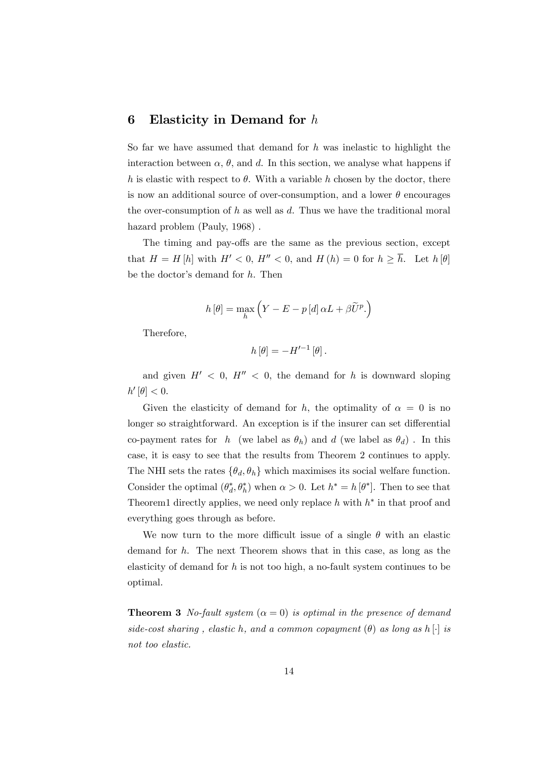### 6 Elasticity in Demand for  $h$

So far we have assumed that demand for  $h$  was inelastic to highlight the interaction between  $\alpha$ ,  $\theta$ , and d. In this section, we analyse what happens if h is elastic with respect to  $\theta$ . With a variable h chosen by the doctor, there is now an additional source of over-consumption, and a lower  $\theta$  encourages the over-consumption of  $h$  as well as  $d$ . Thus we have the traditional moral hazard problem (Pauly, 1968).

The timing and pay-offs are the same as the previous section, except that  $H = H[h]$  with  $H' < 0$ ,  $H'' < 0$ , and  $H(h) = 0$  for  $h \ge \overline{h}$ . Let  $h[\theta]$ be the doctor's demand for  $h$ . Then

$$
h\left[\theta\right] = \max_{h} \left(Y - E - p\left[d\right]\alpha L + \beta \widetilde{U}^{p}\right)
$$

Therefore,

$$
h\left[\theta\right] = -H'^{-1}\left[\theta\right].
$$

and given  $H' < 0$ ,  $H'' < 0$ , the demand for h is downward sloping  $h'[\theta]<0.$ 

Given the elasticity of demand for h, the optimality of  $\alpha = 0$  is no longer so straightforward. An exception is if the insurer can set differential co-payment rates for h (we label as  $\theta_h$ ) and d (we label as  $\theta_d$ ). In this case, it is easy to see that the results from Theorem 2 continues to apply. The NHI sets the rates  $\{\theta_d, \theta_h\}$  which maximises its social welfare function. Consider the optimal  $(\theta_d^*, \theta_h^*)$  when  $\alpha > 0$ . Let  $h^* = h[\theta^*]$ . Then to see that Theorem1 directly applies, we need only replace  $h$  with  $h^*$  in that proof and everything goes through as before.

We now turn to the more difficult issue of a single  $\theta$  with an elastic demand for h. The next Theorem shows that in this case, as long as the elasticity of demand for  $h$  is not too high, a no-fault system continues to be optimal.

**Theorem 3** No-fault system  $(\alpha = 0)$  is optimal in the presence of demand side-cost sharing, elastic h, and a common copayment  $(\theta)$  as long as h  $\lbrack \cdot \rbrack$  is not too elastic.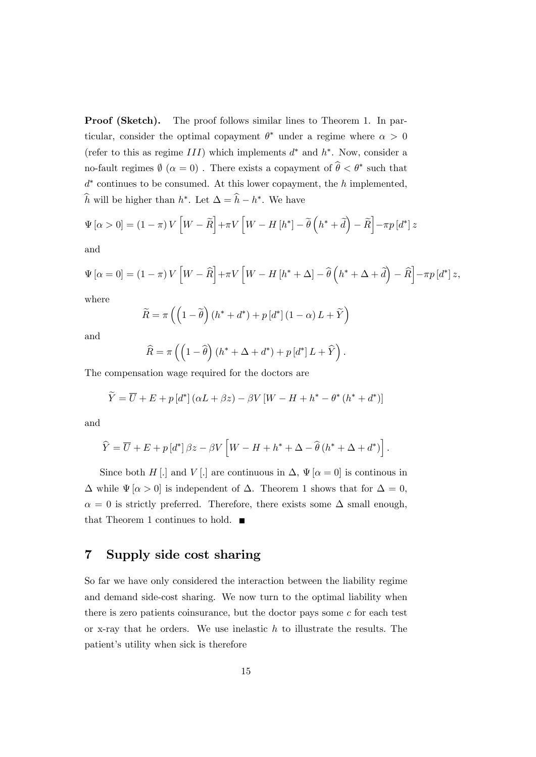Proof (Sketch). The proof follows similar lines to Theorem 1. In particular, consider the optimal copayment  $\theta^*$  under a regime where  $\alpha > 0$ (refer to this as regime  $III$ ) which implements  $d^*$  and  $h^*$ . Now, consider a no-fault regimes  $\emptyset$   $(\alpha = 0)$ . There exists a copayment of  $\theta < \theta^*$  such that  $d^*$  continues to be consumed. At this lower copayment, the h implemented, h will be higher than  $h^*$ . Let  $\Delta = h - h^*$ . We have

$$
\Psi\left[\alpha>0\right] = \left(1-\pi\right)V\left[W-\widetilde{R}\right] + \pi V\left[W-H\left[h^*\right] - \widetilde{\theta}\left(h^*+\widetilde{d}\right) - \widetilde{R}\right] - \pi p\left[d^*\right]z
$$

and

$$
\Psi\left[\alpha=0\right] = \left(1-\pi\right)V\left[W-\widehat{R}\right] + \pi V\left[W-H\left[h^*+\Delta\right]-\widehat{\theta}\left(h^*+\Delta+\widehat{d}\right)-\widehat{R}\right] - \pi p\left[d^*\right]z,
$$

where

$$
\widetilde{R} = \pi \left( \left( 1 - \widetilde{\theta} \right) \left( h^* + d^* \right) + p \left[ d^* \right] \left( 1 - \alpha \right) L + \widetilde{Y} \right)
$$

and

$$
\widehat{R} = \pi \left( \left( 1 - \widehat{\theta} \right) \left( h^* + \Delta + d^* \right) + p \left[ d^* \right] L + \widehat{Y} \right).
$$

The compensation wage required for the doctors are

$$
\widetilde{Y} = \overline{U} + E + p \left[ d^* \right] \left( \alpha L + \beta z \right) - \beta V \left[ W - H + h^* - \theta^* \left( h^* + d^* \right) \right]
$$

and

$$
\widehat{Y} = \overline{U} + E + p \left[ d^* \right] \beta z - \beta V \left[ W - H + h^* + \Delta - \widehat{\theta} \left( h^* + \Delta + d^* \right) \right].
$$

Since both H [.] and V [.] are continuous in  $\Delta$ ,  $\Psi$  [ $\alpha = 0$ ] is continous in  $\Delta$  while  $\Psi$   $\alpha > 0$  is independent of  $\Delta$ . Theorem 1 shows that for  $\Delta = 0$ ,  $\alpha = 0$  is strictly preferred. Therefore, there exists some  $\Delta$  small enough, that Theorem 1 continues to hold.  $\blacksquare$ 

## 7 Supply side cost sharing

So far we have only considered the interaction between the liability regime and demand side-cost sharing. We now turn to the optimal liability when there is zero patients coinsurance, but the doctor pays some  $c$  for each test or x-ray that he orders. We use inelastic  $h$  to illustrate the results. The patient's utility when sick is therefore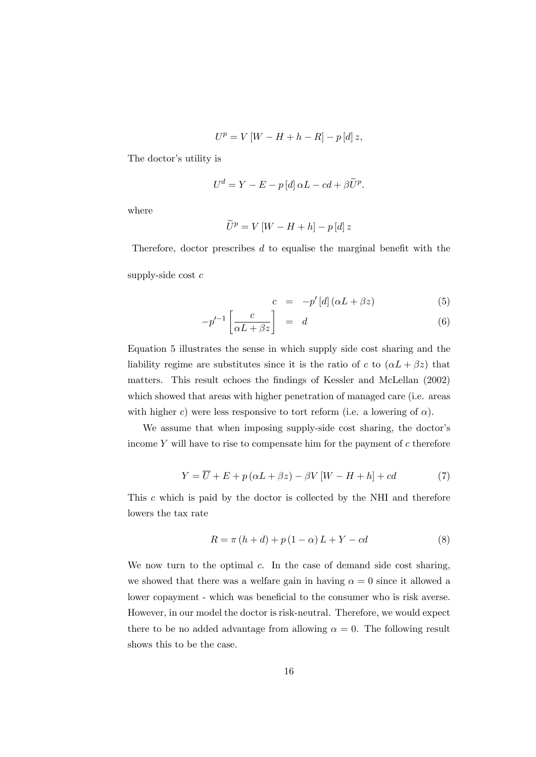$$
U^{p} = V\left[W - H + h - R\right] - p\left[d\right]z,
$$

The doctor's utility is

$$
U^d = Y - E - p [d] \alpha L - c d + \beta \widetilde{U}^p.
$$

where

$$
\widetilde{U}^{p} = V\left[W - H + h\right] - p\left[d\right]z
$$

Therefore, doctor prescribes  $d$  to equalise the marginal benefit with the supply-side cost  $c$ 

$$
c = -p'[d](\alpha L + \beta z) \tag{5}
$$

$$
-p'^{-1}\left[\frac{c}{\alpha L + \beta z}\right] = d \tag{6}
$$

Equation 5 illustrates the sense in which supply side cost sharing and the liability regime are substitutes since it is the ratio of c to  $(\alpha L + \beta z)$  that matters. This result echoes the findings of Kessler and McLellan (2002) which showed that areas with higher penetration of managed care (i.e. areas with higher c) were less responsive to tort reform (i.e. a lowering of  $\alpha$ ).

We assume that when imposing supply-side cost sharing, the doctor's income  $Y$  will have to rise to compensate him for the payment of  $c$  therefore

$$
Y = \overline{U} + E + p(\alpha L + \beta z) - \beta V[W - H + h] + cd \tag{7}
$$

This c which is paid by the doctor is collected by the NHI and therefore lowers the tax rate

$$
R = \pi (h + d) + p (1 - \alpha) L + Y - cd \tag{8}
$$

We now turn to the optimal  $c$ . In the case of demand side cost sharing, we showed that there was a welfare gain in having  $\alpha = 0$  since it allowed a lower copayment - which was beneficial to the consumer who is risk averse. However, in our model the doctor is risk-neutral. Therefore, we would expect there to be no added advantage from allowing  $\alpha = 0$ . The following result shows this to be the case.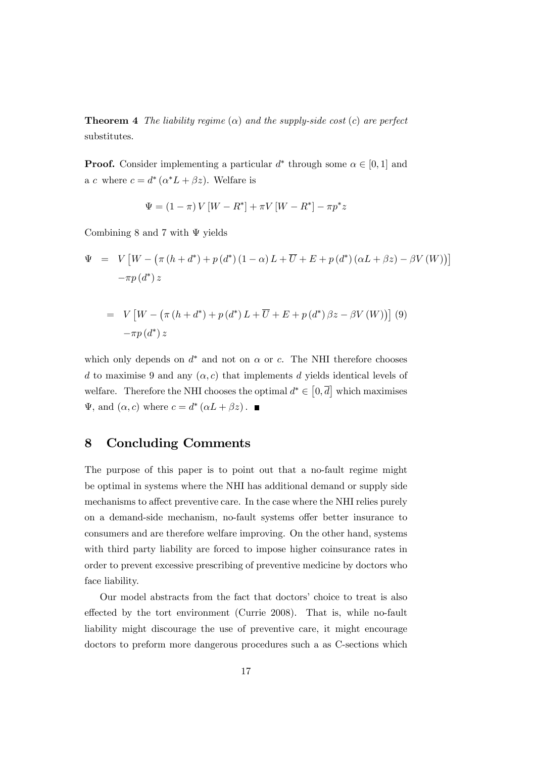**Theorem 4** The liability regime  $(\alpha)$  and the supply-side cost  $(c)$  are perfect substitutes.

**Proof.** Consider implementing a particular  $d^*$  through some  $\alpha \in [0, 1]$  and a c where  $c = d^* (\alpha^* L + \beta z)$ . Welfare is

$$
\Psi = (1 - \pi) V [W - R^*] + \pi V [W - R^*] - \pi p^* z
$$

Combining 8 and 7 with  $\Psi$  yields

$$
\Psi = V \left[ W - \left( \pi \left( h + d^* \right) + p \left( d^* \right) \left( 1 - \alpha \right) L + \overline{U} + E + p \left( d^* \right) \left( \alpha L + \beta z \right) - \beta V \left( W \right) \right) \right]
$$
  

$$
- \pi p \left( d^* \right) z
$$
  

$$
= V \left[ W - \left( \pi \left( h + d^* \right) + p \left( d^* \right) L + \overline{U} + E + p \left( d^* \right) \beta z - \beta V \left( W \right) \right) \right] (9)
$$
  

$$
- \pi p \left( d^* \right) z
$$

which only depends on  $d^*$  and not on  $\alpha$  or c. The NHI therefore chooses d to maximise 9 and any  $(\alpha, c)$  that implements d yields identical levels of welfare. Therefore the NHI chooses the optimal  $d^* \in [0, \overline{d}]$  which maximises  $\Psi$ , and  $(\alpha, c)$  where  $c = d^* (\alpha L + \beta z)$ .

#### 8 Concluding Comments

The purpose of this paper is to point out that a no-fault regime might be optimal in systems where the NHI has additional demand or supply side mechanisms to affect preventive care. In the case where the NHI relies purely on a demand-side mechanism, no-fault systems offer better insurance to consumers and are therefore welfare improving. On the other hand, systems with third party liability are forced to impose higher coinsurance rates in order to prevent excessive prescribing of preventive medicine by doctors who face liability.

Our model abstracts from the fact that doctors' choice to treat is also effected by the tort environment (Currie 2008). That is, while no-fault liability might discourage the use of preventive care, it might encourage doctors to preform more dangerous procedures such a as C-sections which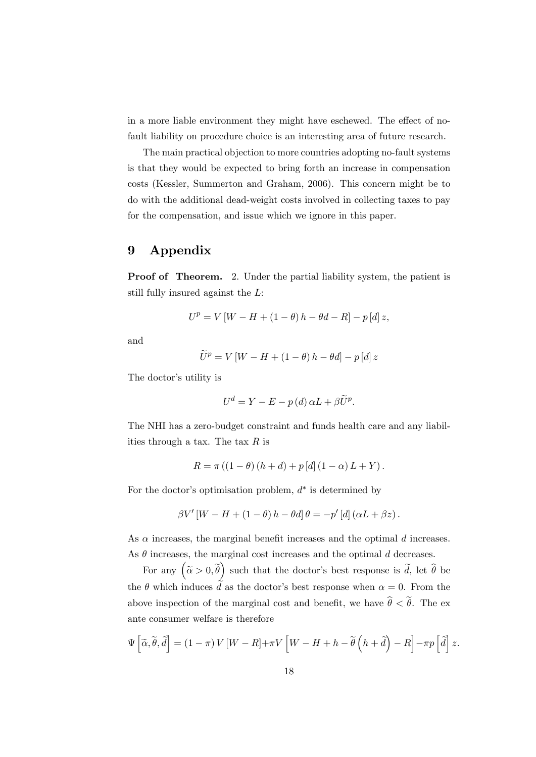in a more liable environment they might have eschewed. The effect of nofault liability on procedure choice is an interesting area of future research.

The main practical objection to more countries adopting no-fault systems is that they would be expected to bring forth an increase in compensation costs (Kessler, Summerton and Graham, 2006). This concern might be to do with the additional dead-weight costs involved in collecting taxes to pay for the compensation, and issue which we ignore in this paper.

#### 9 Appendix

Proof of Theorem. 2. Under the partial liability system, the patient is still fully insured against the L:

$$
U^{p} = V [W - H + (1 - \theta) h - \theta d - R] - p [d] z,
$$

and

$$
\widetilde{U}^{p} = V \left[ W - H + (1 - \theta) h - \theta d \right] - p \left[ d \right] z
$$

The doctor's utility is

$$
U^d = Y - E - p(d) \alpha L + \beta \widetilde{U}^p.
$$

The NHI has a zero-budget constraint and funds health care and any liabilities through a tax. The tax  $R$  is

$$
R = \pi ((1 - \theta) (h + d) + p [d] (1 - \alpha) L + Y).
$$

For the doctor's optimisation problem,  $d^*$  is determined by

$$
\beta V'[W - H + (1 - \theta) h - \theta d] \theta = -p'[d] (\alpha L + \beta z).
$$

As  $\alpha$  increases, the marginal benefit increases and the optimal d increases. As  $\theta$  increases, the marginal cost increases and the optimal d decreases.

For any  $(\tilde{\alpha} > 0, \tilde{\theta})$  such that the doctor's best response is  $\tilde{d}$ , let  $\hat{\theta}$  be the  $\theta$  which induces  $\tilde{d}$  as the doctor's best response when  $\alpha = 0$ . From the above inspection of the marginal cost and benefit, we have  $\hat{\theta} < \tilde{\theta}$ . The exante consumer welfare is therefore

$$
\Psi\left[\widetilde{\alpha},\widetilde{\theta},\widetilde{d}\right] = (1-\pi)V\left[W-R\right]+\pi V\left[W-H+h-\widetilde{\theta}\left(h+\widetilde{d}\right)-R\right]-\pi p\left[\widetilde{d}\right]z.
$$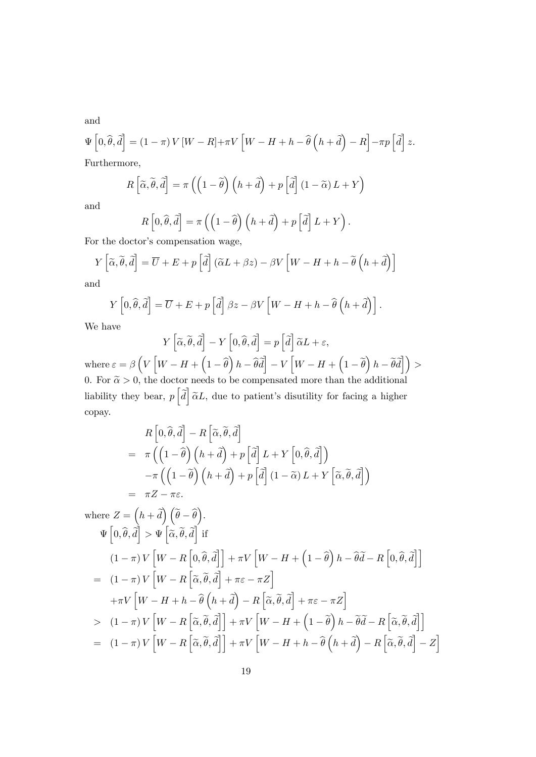and

$$
\Psi\left[0,\widehat{\theta},\widehat{d}\right] = \left(1-\pi\right)V\left[W-R\right]+\pi V\left[W-H+h-\widehat{\theta}\left(h+\widehat{d}\right)-R\right]-\pi p\left[\widehat{d}\right]z.
$$
 Furthermore,

Furthermore,

$$
R\left[\widetilde{\alpha},\widetilde{\theta},\widetilde{d}\right]=\pi\left(\left(1-\widetilde{\theta}\right)\left(h+\widetilde{d}\right)+p\left[\widetilde{d}\right]\left(1-\widetilde{\alpha}\right)L+Y\right)
$$

and

$$
R\left[0,\hat{\theta},\tilde{d}\right] = \pi\left(\left(1-\hat{\theta}\right)\left(h+\tilde{d}\right) + p\left[\tilde{d}\right]L + Y\right).
$$
  
with  $P$  is compensation. We

For the doctor's compensation wage,

$$
Y\left[\widetilde{\alpha}, \widetilde{\theta}, \widetilde{d}\right] = \overline{U} + E + p\left[\widetilde{d}\right] \left(\widetilde{\alpha}L + \beta z\right) - \beta V\left[W - H + h - \widetilde{\theta}\left(h + \widetilde{d}\right)\right]
$$

and

$$
Y\left[0,\widehat{\theta},\widetilde{d}\right]=\overline{U}+E+p\left[\widetilde{d}\right]\beta z-\beta V\left[W-H+h-\widehat{\theta}\left(h+\widetilde{d}\right)\right].
$$

We have

$$
Y\left[\widetilde{\alpha},\widetilde{\theta},\widetilde{d}\right]-Y\left[0,\widehat{\theta},\widetilde{d}\right]=p\left[\widetilde{d}\right]\widetilde{\alpha}L+\varepsilon,
$$

where  $\varepsilon = \beta\left(V\left[W-H+\left(1-\widehat{\theta}\right)h-\widehat{\theta}\widetilde{d}\right]-V\left[W-H+\left(1-\widetilde{\theta}\right)h-\widetilde{\theta}\widetilde{d}\right]\right)>$ 0. For  $\tilde{\alpha} > 0$ , the doctor needs to be compensated more than the additional liability they bear,  $p\left[\tilde{d}\right]\tilde{\alpha}L$ , due to patient's disutility for facing a higher copay.

$$
R\left[0,\widehat{\theta},\widetilde{d}\right]-R\left[\widetilde{\alpha},\widetilde{\theta},\widetilde{d}\right]
$$
  
=  $\pi\left(\left(1-\widehat{\theta}\right)\left(h+\widetilde{d}\right)+p\left[\widetilde{d}\right]L+Y\left[0,\widehat{\theta},\widetilde{d}\right]\right)$   

$$
-\pi\left(\left(1-\widetilde{\theta}\right)\left(h+\widetilde{d}\right)+p\left[\widetilde{d}\right](1-\widetilde{\alpha})L+Y\left[\widetilde{\alpha},\widetilde{\theta},\widetilde{d}\right]\right)
$$
  
=  $\pi Z-\pi \varepsilon$ .

where 
$$
Z = (h + \tilde{d}) (\tilde{\theta} - \tilde{\theta}).
$$
  
\n
$$
\Psi [0, \hat{\theta}, \tilde{d}] > \Psi [\tilde{\alpha}, \tilde{\theta}, \tilde{d}] \text{ if}
$$
  
\n
$$
(1 - \pi) V [W - R [0, \tilde{\theta}, \tilde{d}] + \pi V [W - H + (1 - \tilde{\theta}) h - \tilde{\theta} \tilde{d} - R [0, \tilde{\theta}, \tilde{d}]]
$$
  
\n
$$
= (1 - \pi) V [W - R [\tilde{\alpha}, \tilde{\theta}, \tilde{d}] + \pi \varepsilon - \pi Z]
$$
  
\n
$$
+ \pi V [W - H + h - \tilde{\theta} (h + \tilde{d}) - R [\tilde{\alpha}, \tilde{\theta}, \tilde{d}] + \pi \varepsilon - \pi Z]
$$
  
\n
$$
> (1 - \pi) V [W - R [\tilde{\alpha}, \tilde{\theta}, \tilde{d}] + \pi V [W - H + (1 - \tilde{\theta}) h - \tilde{\theta} \tilde{d} - R [\tilde{\alpha}, \tilde{\theta}, \tilde{d}]]
$$
  
\n
$$
= (1 - \pi) V [W - R [\tilde{\alpha}, \tilde{\theta}, \tilde{d}] + \pi V [W - H + h - \hat{\theta} (h + \tilde{d}) - R [\tilde{\alpha}, \tilde{\theta}, \tilde{d}] - Z]
$$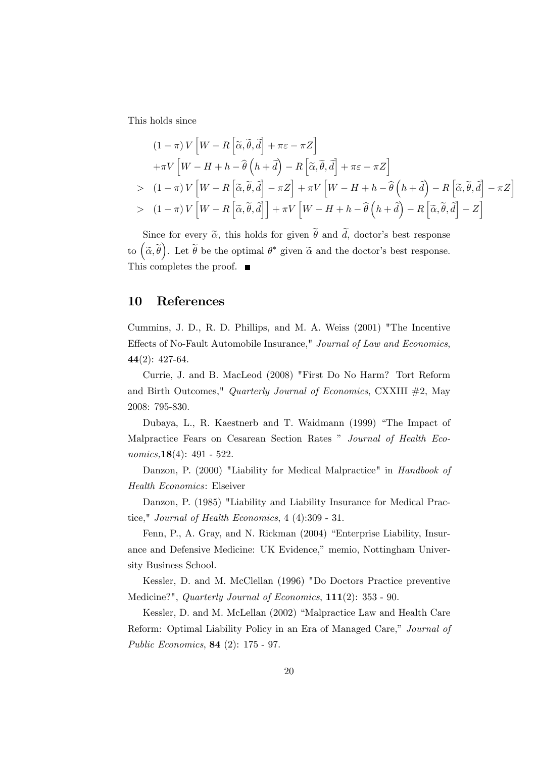This holds since

$$
(1 - \pi) V \left[ W - R \left[ \tilde{\alpha}, \tilde{\theta}, \tilde{d} \right] + \pi \varepsilon - \pi Z \right]
$$
  
+  $\pi V \left[ W - H + h - \hat{\theta} \left( h + \tilde{d} \right) - R \left[ \tilde{\alpha}, \tilde{\theta}, \tilde{d} \right] + \pi \varepsilon - \pi Z \right]$   
>  $(1 - \pi) V \left[ W - R \left[ \tilde{\alpha}, \tilde{\theta}, \tilde{d} \right] - \pi Z \right] + \pi V \left[ W - H + h - \hat{\theta} \left( h + \tilde{d} \right) - R \left[ \tilde{\alpha}, \tilde{\theta}, \tilde{d} \right] - \pi Z \right]$   
>  $(1 - \pi) V \left[ W - R \left[ \tilde{\alpha}, \tilde{\theta}, \tilde{d} \right] \right] + \pi V \left[ W - H + h - \hat{\theta} \left( h + \tilde{d} \right) - R \left[ \tilde{\alpha}, \tilde{\theta}, \tilde{d} \right] - Z \right]$ 

Since for every  $\tilde{\alpha}$ , this holds for given  $\tilde{\theta}$  and  $\tilde{d}$ , doctor's best response to  $(\tilde{\alpha}, \tilde{\theta})$ . Let  $\tilde{\theta}$  be the optimal  $\theta^*$  given  $\tilde{\alpha}$  and the doctor's best response. This completes the proof. ■

#### 10 References

Cummins, J. D., R. D. Phillips, and M. A. Weiss (2001) "The Incentive Effects of No-Fault Automobile Insurance," Journal of Law and Economics, 44(2): 427-64.

Currie, J. and B. MacLeod (2008) "First Do No Harm? Tort Reform and Birth Outcomes," Quarterly Journal of Economics, CXXIII #2, May 2008: 795-830.

Dubaya, L., R. Kaestnerb and T. Waidmann (1999) "The Impact of Malpractice Fears on Cesarean Section Rates " Journal of Health Economics,  $18(4)$ : 491 - 522.

Danzon, P. (2000) "Liability for Medical Malpractice" in Handbook of Health Economics: Elseiver

Danzon, P. (1985) "Liability and Liability Insurance for Medical Practice," Journal of Health Economics, 4 (4):309 - 31.

Fenn, P., A. Gray, and N. Rickman (2004) "Enterprise Liability, Insurance and Defensive Medicine: UK Evidence," memio, Nottingham University Business School.

Kessler, D. and M. McClellan (1996) "Do Doctors Practice preventive Medicine?", Quarterly Journal of Economics, 111(2): 353 - 90.

Kessler, D. and M. McLellan (2002) "Malpractice Law and Health Care Reform: Optimal Liability Policy in an Era of Managed Care," Journal of Public Economics, 84 (2): 175 - 97.